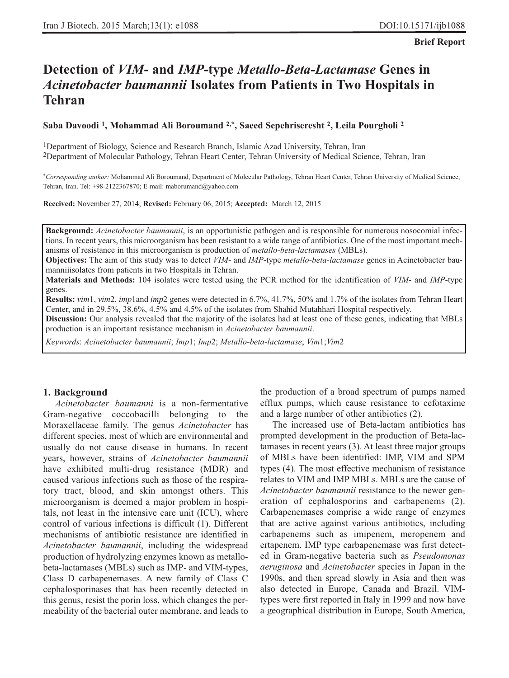#### **Brief Report**

# **Detection of** *VIM***- and** *IMP***-type** *Metallo-Beta-Lactamase* **Genes in** *Acinetobacter baumannii* **Isolates from Patients in Two Hospitals in Tehran**

#### **Saba Davoodi 1, Mohammad Ali Boroumand 2,\*, Saeed Sepehriseresht 2, Leila Pourgholi 2**

1Department of Biology, Science and Research Branch, Islamic Azad University, Tehran, Iran 2Department of Molecular Pathology, Tehran Heart Center, Tehran University of Medical Science, Tehran, Iran

*\*Corresponding author:* Mohammad Ali Boroumand, Department of Molecular Pathology, Tehran Heart Center, Tehran University of Medical Science, Tehran, Iran. Tel: +98-2122367870; E-mail: maborumand@yahoo.com

**Received:** November 27, 2014; **Revised:** February 06, 2015; **Accepted:** March 12, 2015

**Background:** *Acinetobacter baumannii*, is an opportunistic pathogen and is responsible for numerous nosocomial infections. In recent years, this microorganism has been resistant to a wide range of antibiotics. One of the most important mechanisms of resistance in this microorganism is production of *metallo-beta-lactamases* (MBLs).

**Objectives:** The aim of this study was to detect *VIM*- and *IMP*-type *metallo-beta-lactamase* genes in Acinetobacter baumanniiisolates from patients in two Hospitals in Tehran.

**Materials and Methods:** 104 isolates were tested using the PCR method for the identification of *VIM*- and *IMP*-type genes.

**Results:** *vim*1, *vim*2, *imp*1and *imp*2 genes were detected in 6.7%, 41.7%, 50% and 1.7% of the isolates from Tehran Heart Center, and in 29.5%, 38.6%, 4.5% and 4.5% of the isolates from Shahid Mutahhari Hospital respectively.

**Discussion:** Our analysis revealed that the majority of the isolates had at least one of these genes, indicating that MBLs production is an important resistance mechanism in *Acinetobacter baumannii*.

*Keywords*: *Acinetobacter baumannii*; *Imp*1; *Imp*2; *Metallo-beta-lactamase*; *Vim*1;*Vim*2

# **1. Background**

*Acinetobacter baumanni* is a non-fermentative Gram-negative coccobacilli belonging to the Moraxellaceae family. The genus *Acinetobacter* has different species, most of which are environmental and usually do not cause disease in humans. In recent years, however, strains of *Acinetobacter baumannii* have exhibited multi-drug resistance (MDR) and caused various infections such as those of the respiratory tract, blood, and skin amongst others. This microorganism is deemed a major problem in hospitals, not least in the intensive care unit (ICU), where control of various infections is difficult (1). Different mechanisms of antibiotic resistance are identified in *Acinetobacter baumannii*, including the widespread production of hydrolyzing enzymes known as metallobeta-lactamases (MBLs) such as IMP- and VIM-types, Class D carbapenemases. A new family of Class C cephalosporinases that has been recently detected in this genus, resist the porin loss, which changes the permeability of the bacterial outer membrane, and leads to

the production of a broad spectrum of pumps named efflux pumps, which cause resistance to cefotaxime and a large number of other antibiotics (2).

The increased use of Beta-lactam antibiotics has prompted development in the production of Beta-lactamases in recent years (3). At least three major groups of MBLs have been identified: IMP, VIM and SPM types (4). The most effective mechanism of resistance relates to VIM and IMP MBLs. MBLs are the cause of *Acinetobacter baumannii* resistance to the newer generation of cephalosporins and carbapenems (2). Carbapenemases comprise a wide range of enzymes that are active against various antibiotics, including carbapenems such as imipenem, meropenem and ertapenem. IMP type carbapenemase was first detected in Gram-negative bacteria such as *Pseudomonas aeruginosa* and *Acinetobacter* species in Japan in the 1990s, and then spread slowly in Asia and then was also detected in Europe, Canada and Brazil. VIMtypes were first reported in Italy in 1999 and now have a geographical distribution in Europe, South America,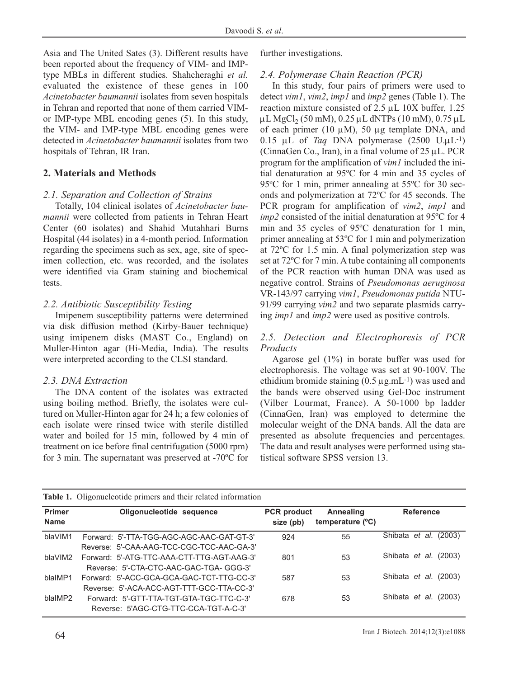Asia and The United Sates (3). Different results have been reported about the frequency of VIM- and IMPtype MBLs in different studies. Shahcheraghi *et al.* evaluated the existence of these genes in 100 *Acinetobacter baumannii* isolates from seven hospitals in Tehran and reported that none of them carried VIMor IMP-type MBL encoding genes (5). In this study, the VIM- and IMP-type MBL encoding genes were detected in *Acinetobacter baumannii* isolates from two hospitals of Tehran, IR Iran.

# **2. Materials and Methods**

# *2.1. Separation and Collection of Strains*

Totally, 104 clinical isolates of *Acinetobacter baumannii* were collected from patients in Tehran Heart Center (60 isolates) and Shahid Mutahhari Burns Hospital (44 isolates) in a 4-month period. Information regarding the specimens such as sex, age, site of specimen collection, etc. was recorded, and the isolates were identified via Gram staining and biochemical tests.

# *2.2. Antibiotic Susceptibility Testing*

Imipenem susceptibility patterns were determined via disk diffusion method (Kirby-Bauer technique) using imipenem disks (MAST Co., England) on Muller-Hinton agar (Hi-Media, India). The results were interpreted according to the CLSI standard.

# *2.3. DNA Extraction*

The DNA content of the isolates was extracted using boiling method. Briefly, the isolates were cultured on Muller-Hinton agar for 24 h; a few colonies of each isolate were rinsed twice with sterile distilled water and boiled for 15 min, followed by 4 min of treatment on ice before final centrifugation (5000 rpm) for 3 min. The supernatant was preserved at -70ºC for further investigations.

#### *2.4. Polymerase Chain Reaction (PCR)*

In this study, four pairs of primers were used to detect *vim1*, *vim2*, *imp1* and *imp2* genes (Table 1). The reaction mixture consisted of 2.5 μL 10X buffer, 1.25 μL MgCl<sub>2</sub> (50 mM),  $0.25$  μL dNTPs (10 mM),  $0.75$  μL of each primer (10  $\mu$ M), 50  $\mu$ g template DNA, and 0.15 μL of *Taq* DNA polymerase (2500 U.μL-1) (CinnaGen Co., Iran), in a final volume of 25 μL. PCR program for the amplification of *vim1* included the initial denaturation at 95ºC for 4 min and 35 cycles of 95ºC for 1 min, primer annealing at 55ºC for 30 seconds and polymerization at 72ºC for 45 seconds. The PCR program for amplification of *vim2*, *imp1* and *imp2* consisted of the initial denaturation at 95ºC for 4 min and 35 cycles of 95ºC denaturation for 1 min, primer annealing at 53ºC for 1 min and polymerization at 72ºC for 1.5 min. A final polymerization step was set at 72ºC for 7 min. A tube containing all components of the PCR reaction with human DNA was used as negative control. Strains of *Pseudomonas aeruginosa* VR-143/97 carrying *vim1*, *Pseudomonas putida* NTU-91/99 carrying *vim2* and two separate plasmids carrying *imp1* and *imp2* were used as positive controls.

# *2.5. Detection and Electrophoresis of PCR Products*

Agarose gel (1%) in borate buffer was used for electrophoresis. The voltage was set at 90-100V. The ethidium bromide staining  $(0.5 \mu g.mL^{-1})$  was used and the bands were observed using Gel-Doc instrument (Vilber Lourmat, France). A 50-1000 bp ladder (CinnaGen, Iran) was employed to determine the molecular weight of the DNA bands. All the data are presented as absolute frequencies and percentages. The data and result analyses were performed using statistical software SPSS version 13.

|                              | <b>Table 1.</b> Oligonucleotide primers and their related information                  |                                 |                               |                              |
|------------------------------|----------------------------------------------------------------------------------------|---------------------------------|-------------------------------|------------------------------|
| <b>Primer</b><br><b>Name</b> | Oligonucleotide sequence                                                               | <b>PCR</b> product<br>size (pb) | Annealing<br>temperature (°C) | <b>Reference</b>             |
| blaVIM1                      | Forward: 5'-TTA-TGG-AGC-AGC-AAC-GAT-GT-3'<br>Reverse: 5'-CAA-AAG-TCC-CGC-TCC-AAC-GA-3' | 924                             | 55                            | Shibata <i>et al.</i> (2003) |
| blaVIM2                      | Forward: 5'-ATG-TTC-AAA-CTT-TTG-AGT-AAG-3'<br>Reverse: 5'-CTA-CTC-AAC-GAC-TGA- GGG-3'  | 801                             | 53                            | Shibata <i>et al.</i> (2003) |
| blaIMP1                      | Forward: 5'-ACC-GCA-GCA-GAC-TCT-TTG-CC-3'<br>Reverse: 5'-ACA-ACC-AGT-TTT-GCC-TTA-CC-3' | 587                             | 53                            | Shibata <i>et al.</i> (2003) |
| blaIMP2                      | Forward: 5'-GTT-TTA-TGT-GTA-TGC-TTC-C-3'<br>Reverse: 5'AGC-CTG-TTC-CCA-TGT-A-C-3'      | 678                             | 53                            | Shibata <i>et al.</i> (2003) |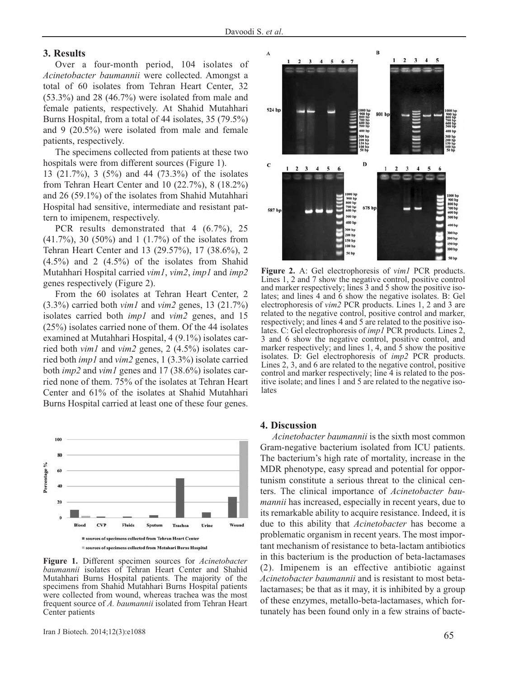#### **3. Results**

Over a four-month period, 104 isolates of *Acinetobacter baumannii* were collected. Amongst a total of 60 isolates from Tehran Heart Center, 32  $(53.3\%)$  and 28 (46.7%) were isolated from male and female patients, respectively. At Shahid Mutahhari Burns Hospital, from a total of 44 isolates, 35 (79.5%) and 9 (20.5%) were isolated from male and female patients, respectively.

The specimens collected from patients at these two hospitals were from different sources (Figure 1).

13 (21.7%), 3 (5%) and 44 (73.3%) of the isolates from Tehran Heart Center and 10 (22.7%), 8 (18.2%) and 26 (59.1%) of the isolates from Shahid Mutahhari Hospital had sensitive, intermediate and resistant pattern to imipenem, respectively.

PCR results demonstrated that 4 (6.7%), 25 (41.7%), 30 (50%) and 1 (1.7%) of the isolates from Tehran Heart Center and 13 (29.57%), 17 (38.6%), 2  $(4.5\%)$  and 2  $(4.5\%)$  of the isolates from Shahid Mutahhari Hospital carried *vim1*, *vim2*, *imp1* and *imp2* genes respectively (Figure 2).

From the 60 isolates at Tehran Heart Center, 2 (3.3%) carried both *vim1* and *vim2* genes, 13 (21.7%) isolates carried both *imp1* and *vim2* genes, and 15 (25%) isolates carried none of them. Of the 44 isolates examined at Mutahhari Hospital, 4 (9.1%) isolates carried both *vim1* and *vim2* genes, 2 (4.5%) isolates carried both *imp1* and *vim2* genes, 1 (3.3%) isolate carried both *imp2* and *vim1* genes and 17 (38.6%) isolates carried none of them. 75% of the isolates at Tehran Heart Center and 61% of the isolates at Shahid Mutahhari Burns Hospital carried at least one of these four genes.



**Figure 1.** Different specimen sources for *Acinetobacter baumannii* isolates of Tehran Heart Center and Shahid Mutahhari Burns Hospital patients. The majority of the specimens from Shahid Mutahhari Burns Hospital patients were collected from wound, whereas trachea was the most frequent source of *A. baumannii* isolated from Tehran Heart Center patients



**Figure 2.** A: Gel electrophoresis of *vim1* PCR products. Lines 1, 2 and 7 show the negative control, positive control and marker respectively; lines 3 and 5 show the positive isolates; and lines 4 and 6 show the negative isolates. B: Gel electrophoresis of *vim2* PCR products. Lines 1, 2 and 3 are related to the negative control, positive control and marker, respectively; and lines 4 and 5 are related to the positive isolates. C: Gel electrophoresis of *imp1* PCR products. Lines 2, 3 and 6 show the negative control, positive control, and marker respectively; and lines 1, 4, and 5 show the positive isolates. D: Gel electrophoresis of *imp2* PCR products. Lines 2, 3, and 6 are related to the negative control, positive control and marker respectively; line 4 is related to the positive isolate; and lines  $\overline{1}$  and  $\overline{5}$  are related to the negative isolates

#### **4. Discussion**

*Acinetobacter baumannii* is the sixth most common Gram-negative bacterium isolated from ICU patients. The bacterium's high rate of mortality, increase in the MDR phenotype, easy spread and potential for opportunism constitute a serious threat to the clinical centers. The clinical importance of *Acinetobacter baumannii* has increased, especially in recent years, due to its remarkable ability to acquire resistance. Indeed, it is due to this ability that *Acinetobacter* has become a problematic organism in recent years. The most important mechanism of resistance to beta-lactam antibiotics in this bacterium is the production of beta-lactamases (2). Imipenem is an effective antibiotic against *Acinetobacter baumannii* and is resistant to most betalactamases; be that as it may, it is inhibited by a group of these enzymes, metallo-beta-lactamases, which fortunately has been found only in a few strains of bacte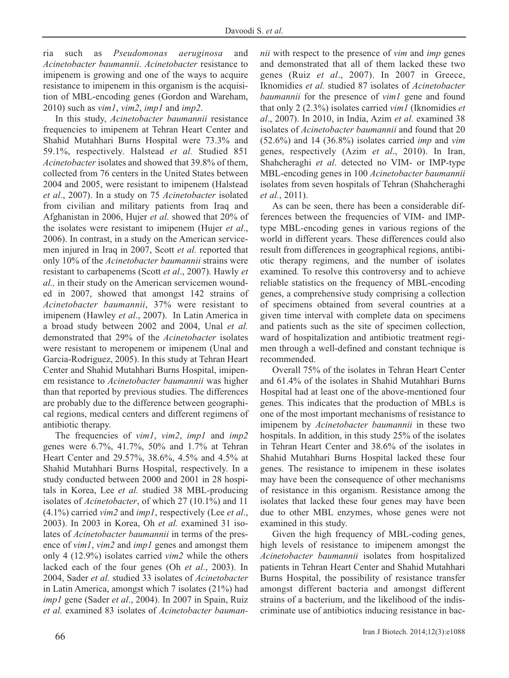ria such as *Pseudomonas aeruginosa* and *Acinetobacter baumannii*. *Acinetobacter* resistance to imipenem is growing and one of the ways to acquire resistance to imipenem in this organism is the acquisition of MBL-encoding genes (Gordon and Wareham, 2010) such as *vim1*, *vim2*, *imp1* and *imp2*.

In this study, *Acinetobacter baumannii* resistance frequencies to imipenem at Tehran Heart Center and Shahid Mutahhari Burns Hospital were 73.3% and 59.1%, respectively. Halstead *et al.* Studied 851 *Acinetobacter* isolates and showed that 39.8% of them, collected from 76 centers in the United States between 2004 and 2005, were resistant to imipenem (Halstead *et al*., 2007). In a study on 75 *Acinetobacter* isolated from civilian and military patients from Iraq and Afghanistan in 2006, Hujer *et al.* showed that 20% of the isolates were resistant to imipenem (Hujer *et al*., 2006). In contrast, in a study on the American servicemen injured in Iraq in 2007, Scott *et al.* reported that only 10% of the *Acinetobacter baumannii* strains were resistant to carbapenems (Scott *et al*., 2007). Hawly *et al.,* in their study on the American servicemen wounded in 2007, showed that amongst 142 strains of *Acinetobacter baumannii*, 37% were resistant to imipenem (Hawley *et al*., 2007). In Latin America in a broad study between 2002 and 2004, Unal *et al.* demonstrated that 29% of the *Acinetobacter* isolates were resistant to meropenem or imipenem (Unal and Garcia-Rodriguez, 2005). In this study at Tehran Heart Center and Shahid Mutahhari Burns Hospital, imipenem resistance to *Acinetobacter baumannii* was higher than that reported by previous studies. The differences are probably due to the difference between geographical regions, medical centers and different regimens of antibiotic therapy.

The frequencies of *vim1*, *vim2*, *imp1* and *imp2* genes were 6.7%, 41.7%, 50% and 1.7% at Tehran Heart Center and 29.57%, 38.6%, 4.5% and 4.5% at Shahid Mutahhari Burns Hospital, respectively. In a study conducted between 2000 and 2001 in 28 hospitals in Korea, Lee *et al.* studied 38 MBL-producing isolates of *Acinetobacter*, of which 27 (10.1%) and 11 (4.1%) carried *vim2* and *imp1*, respectively (Lee *et al*., 2003). In 2003 in Korea, Oh *et al.* examined 31 isolates of *Acinetobacter baumannii* in terms of the presence of *vim1*, *vim2* and *imp1* genes and amongst them only 4 (12.9%) isolates carried *vim2* while the others lacked each of the four genes (Oh *et al*., 2003). In 2004, Sader *et al.* studied 33 isolates of *Acinetobacter* in Latin America, amongst which 7 isolates (21%) had *imp1* gene (Sader *et al*., 2004). In 2007 in Spain, Ruiz *et al.* examined 83 isolates of *Acinetobacter bauman-* *nii* with respect to the presence of *vim* and *imp* genes and demonstrated that all of them lacked these two genes (Ruiz *et al*., 2007). In 2007 in Greece, Iknomidies *et al.* studied 87 isolates of *Acinetobacter baumannii* for the presence of *vim1* gene and found that only 2 (2.3%) isolates carried *vim1* (Iknomidies *et al*., 2007). In 2010, in India, Azim *et al.* examined 38 isolates of *Acinetobacter baumannii* and found that 20 (52.6%) and 14 (36.8%) isolates carried *imp* and *vim* genes, respectively (Azim *et al*., 2010). In Iran, Shahcheraghi *et al*. detected no VIM- or IMP-type MBL-encoding genes in 100 *Acinetobacter baumannii* isolates from seven hospitals of Tehran (Shahcheraghi *et al.*, 2011).

As can be seen, there has been a considerable differences between the frequencies of VIM- and IMPtype MBL-encoding genes in various regions of the world in different years. These differences could also result from differences in geographical regions, antibiotic therapy regimens, and the number of isolates examined. To resolve this controversy and to achieve reliable statistics on the frequency of MBL-encoding genes, a comprehensive study comprising a collection of specimens obtained from several countries at a given time interval with complete data on specimens and patients such as the site of specimen collection, ward of hospitalization and antibiotic treatment regimen through a well-defined and constant technique is recommended.

Overall 75% of the isolates in Tehran Heart Center and 61.4% of the isolates in Shahid Mutahhari Burns Hospital had at least one of the above-mentioned four genes. This indicates that the production of MBLs is one of the most important mechanisms of resistance to imipenem by *Acinetobacter baumannii* in these two hospitals. In addition, in this study 25% of the isolates in Tehran Heart Center and 38.6% of the isolates in Shahid Mutahhari Burns Hospital lacked these four genes. The resistance to imipenem in these isolates may have been the consequence of other mechanisms of resistance in this organism. Resistance among the isolates that lacked these four genes may have been due to other MBL enzymes, whose genes were not examined in this study.

Given the high frequency of MBL-coding genes, high levels of resistance to imipenem amongst the *Acinetobacter baumannii* isolates from hospitalized patients in Tehran Heart Center and Shahid Mutahhari Burns Hospital, the possibility of resistance transfer amongst different bacteria and amongst different strains of a bacterium, and the likelihood of the indiscriminate use of antibiotics inducing resistance in bac